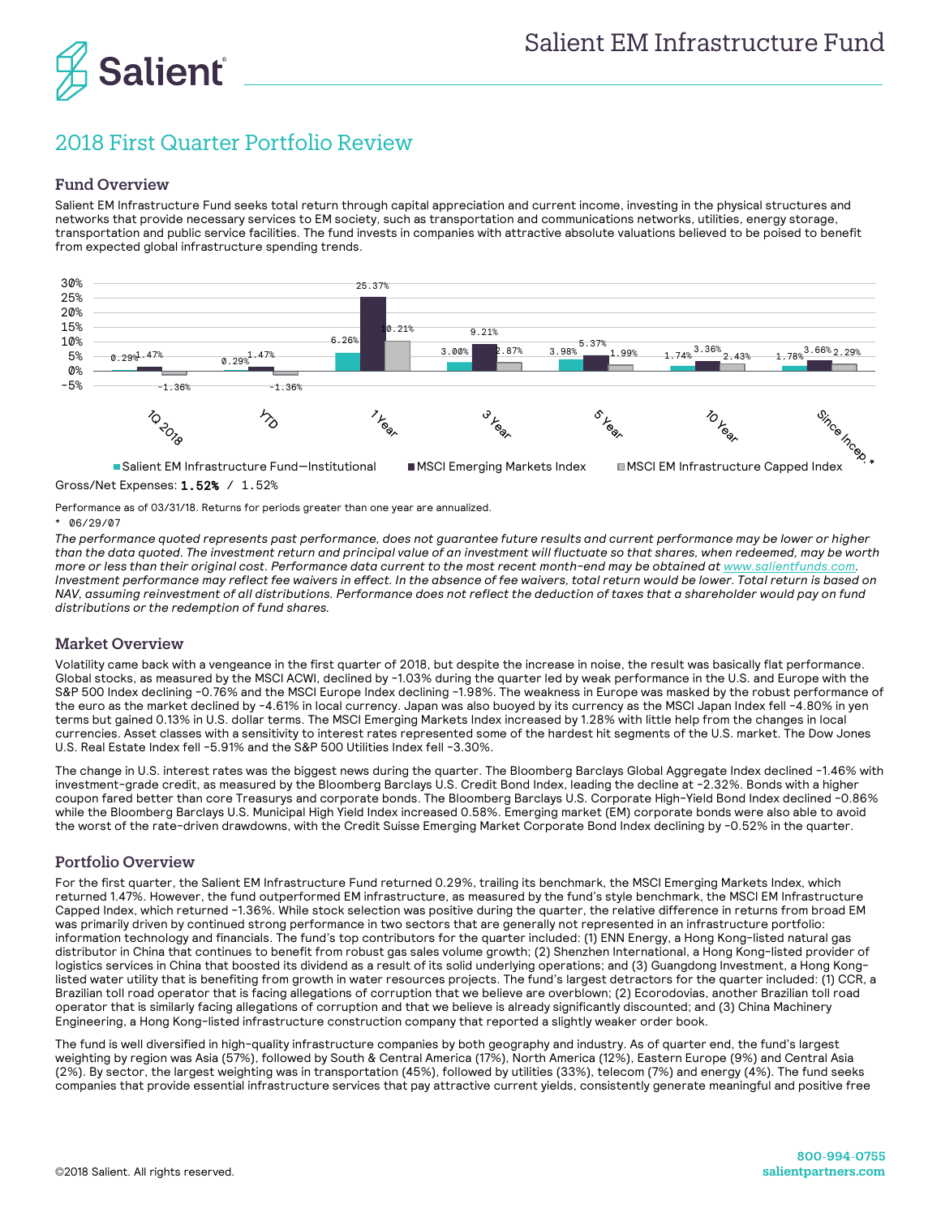

# 2018 First Quarter Portfolio Review

## Fund Overview

Salient EM Infrastructure Fund seeks total return through capital appreciation and current income, investing in the physical structures and networks that provide necessary services to EM society, such as transportation and communications networks, utilities, energy storage, transportation and public service facilities. The fund invests in companies with attractive absolute valuations believed to be poised to benefit from expected global infrastructure spending trends.



Gross/Net Expenses: 1.52% / 1.52%

Performance as of 03/31/18. Returns for periods greater than one year are annualized.

## 06/29/07

*The performance quoted represents past performance, does not guarantee future results and current performance may be lower or higher than the data quoted. The investment return and principal value of an investment will fluctuate so that shares, when redeemed, may be worth more or less than their original cost. Performance data current to the most recent month-end may be obtained a[t www.salientfunds.com.](http://www.salientfunds.com/) Investment performance may reflect fee waivers in effect. In the absence of fee waivers, total return would be lower. Total return is based on NAV, assuming reinvestment of all distributions. Performance does not reflect the deduction of taxes that a shareholder would pay on fund distributions or the redemption of fund shares.*

# Market Overview

Volatility came back with a vengeance in the first quarter of 2018, but despite the increase in noise, the result was basically flat performance. Global stocks, as measured by the MSCI ACWI, declined by -1.03% during the quarter led by weak performance in the U.S. and Europe with the S&P 500 Index declining -0.76% and the MSCI Europe Index declining -1.98%. The weakness in Europe was masked by the robust performance of the euro as the market declined by -4.61% in local currency. Japan was also buoyed by its currency as the MSCI Japan Index fell -4.80% in yen terms but gained 0.13% in U.S. dollar terms. The MSCI Emerging Markets Index increased by 1.28% with little help from the changes in local currencies. Asset classes with a sensitivity to interest rates represented some of the hardest hit segments of the U.S. market. The Dow Jones U.S. Real Estate Index fell -5.91% and the S&P 500 Utilities Index fell -3.30%.

The change in U.S. interest rates was the biggest news during the quarter. The Bloomberg Barclays Global Aggregate Index declined -1.46% with investment-grade credit, as measured by the Bloomberg Barclays U.S. Credit Bond Index, leading the decline at -2.32%. Bonds with a higher coupon fared better than core Treasurys and corporate bonds. The Bloomberg Barclays U.S. Corporate High-Yield Bond Index declined -0.86% while the Bloomberg Barclays U.S. Municipal High Yield Index increased 0.58%. Emerging market (EM) corporate bonds were also able to avoid the worst of the rate-driven drawdowns, with the Credit Suisse Emerging Market Corporate Bond Index declining by -0.52% in the quarter.

# Portfolio Overview

For the first quarter, the Salient EM Infrastructure Fund returned 0.29%, trailing its benchmark, the MSCI Emerging Markets Index, which returned 1.47%. However, the fund outperformed EM infrastructure, as measured by the fund's style benchmark, the MSCI EM Infrastructure Capped Index, which returned -1.36%. While stock selection was positive during the quarter, the relative difference in returns from broad EM was primarily driven by continued strong performance in two sectors that are generally not represented in an infrastructure portfolio: information technology and financials. The fund's top contributors for the quarter included: (1) ENN Energy, a Hong Kong-listed natural gas distributor in China that continues to benefit from robust gas sales volume growth; (2) Shenzhen International, a Hong Kong-listed provider of logistics services in China that boosted its dividend as a result of its solid underlying operations; and (3) Guangdong Investment, a Hong Konglisted water utility that is benefiting from growth in water resources projects. The fund's largest detractors for the quarter included: (1) CCR, a Brazilian toll road operator that is facing allegations of corruption that we believe are overblown; (2) Ecorodovias, another Brazilian toll road operator that is similarly facing allegations of corruption and that we believe is already significantly discounted; and (3) China Machinery Engineering, a Hong Kong-listed infrastructure construction company that reported a slightly weaker order book.

The fund is well diversified in high-quality infrastructure companies by both geography and industry. As of quarter end, the fund's largest weighting by region was Asia (57%), followed by South & Central America (17%), North America (12%), Eastern Europe (9%) and Central Asia (2%). By sector, the largest weighting was in transportation (45%), followed by utilities (33%), telecom (7%) and energy (4%). The fund seeks companies that provide essential infrastructure services that pay attractive current yields, consistently generate meaningful and positive free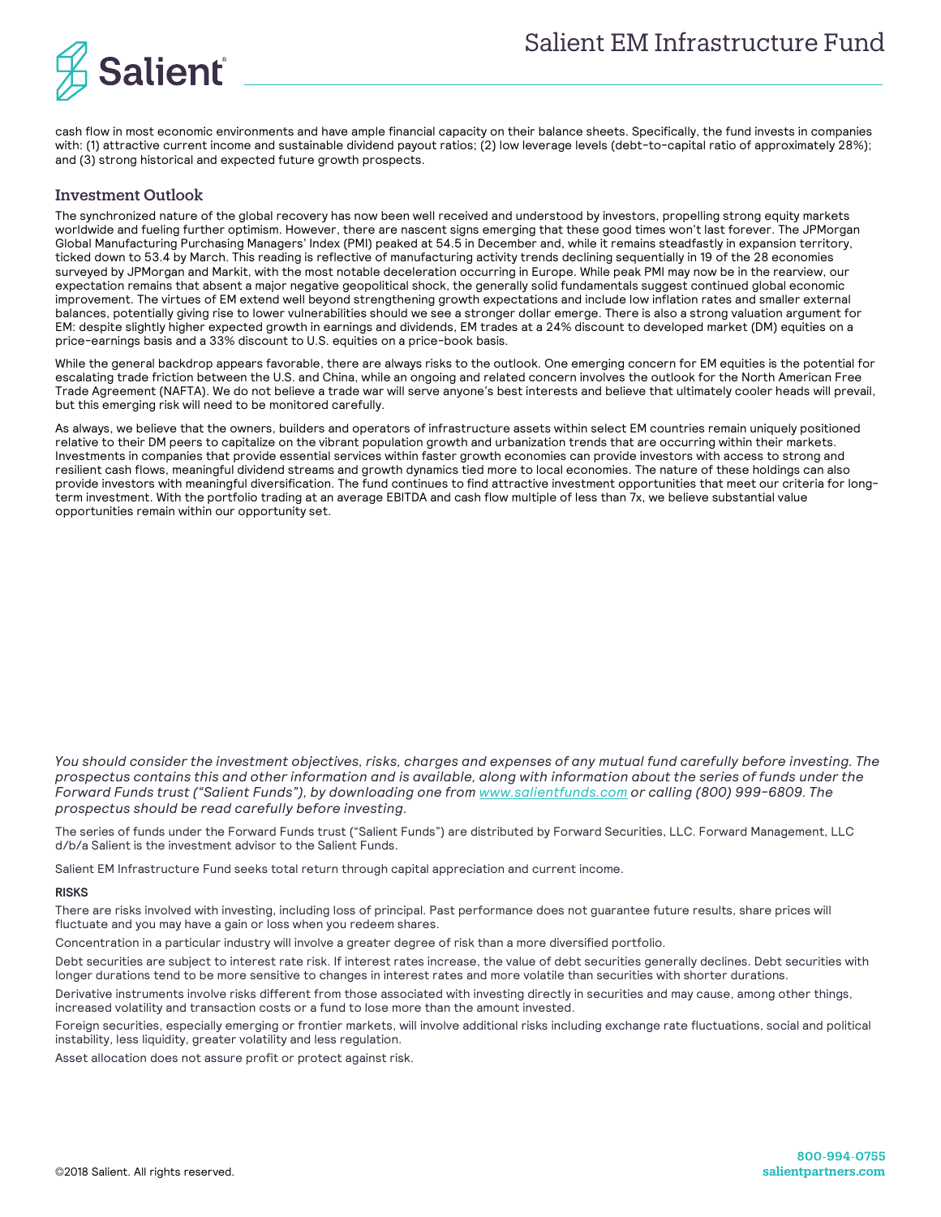



cash flow in most economic environments and have ample financial capacity on their balance sheets. Specifically, the fund invests in companies with: (1) attractive current income and sustainable dividend payout ratios; (2) low leverage levels (debt-to-capital ratio of approximately 28%); and (3) strong historical and expected future growth prospects.

## Investment Outlook

The synchronized nature of the global recovery has now been well received and understood by investors, propelling strong equity markets worldwide and fueling further optimism. However, there are nascent signs emerging that these good times won't last forever. The JPMorgan Global Manufacturing Purchasing Managers' Index (PMI) peaked at 54.5 in December and, while it remains steadfastly in expansion territory, ticked down to 53.4 by March. This reading is reflective of manufacturing activity trends declining sequentially in 19 of the 28 economies surveyed by JPMorgan and Markit, with the most notable deceleration occurring in Europe. While peak PMI may now be in the rearview, our expectation remains that absent a major negative geopolitical shock, the generally solid fundamentals suggest continued global economic improvement. The virtues of EM extend well beyond strengthening growth expectations and include low inflation rates and smaller external balances, potentially giving rise to lower vulnerabilities should we see a stronger dollar emerge. There is also a strong valuation argument for EM: despite slightly higher expected growth in earnings and dividends, EM trades at a 24% discount to developed market (DM) equities on a price-earnings basis and a 33% discount to U.S. equities on a price-book basis.

While the general backdrop appears favorable, there are always risks to the outlook. One emerging concern for EM equities is the potential for escalating trade friction between the U.S. and China, while an ongoing and related concern involves the outlook for the North American Free Trade Agreement (NAFTA). We do not believe a trade war will serve anyone's best interests and believe that ultimately cooler heads will prevail, but this emerging risk will need to be monitored carefully.

As always, we believe that the owners, builders and operators of infrastructure assets within select EM countries remain uniquely positioned relative to their DM peers to capitalize on the vibrant population growth and urbanization trends that are occurring within their markets. Investments in companies that provide essential services within faster growth economies can provide investors with access to strong and resilient cash flows, meaningful dividend streams and growth dynamics tied more to local economies. The nature of these holdings can also provide investors with meaningful diversification. The fund continues to find attractive investment opportunities that meet our criteria for longterm investment. With the portfolio trading at an average EBITDA and cash flow multiple of less than 7x, we believe substantial value opportunities remain within our opportunity set.

*You should consider the investment objectives, risks, charges and expenses of any mutual fund carefully before investing. The prospectus contains this and other information and is available, along with information about the series of funds under the Forward Funds trust ("Salient Funds"), by downloading one fro[m www.salientfunds.com](http://www.salientfunds.com/) or calling (800) 999-6809. The prospectus should be read carefully before investing.*

The series of funds under the Forward Funds trust ("Salient Funds") are distributed by Forward Securities, LLC. Forward Management, LLC d/b/a Salient is the investment advisor to the Salient Funds.

Salient EM Infrastructure Fund seeks total return through capital appreciation and current income.

#### **RISKS**

There are risks involved with investing, including loss of principal. Past performance does not guarantee future results, share prices will fluctuate and you may have a gain or loss when you redeem shares.

Concentration in a particular industry will involve a greater degree of risk than a more diversified portfolio.

Debt securities are subject to interest rate risk. If interest rates increase, the value of debt securities generally declines. Debt securities with longer durations tend to be more sensitive to changes in interest rates and more volatile than securities with shorter durations.

Derivative instruments involve risks different from those associated with investing directly in securities and may cause, among other things, increased volatility and transaction costs or a fund to lose more than the amount invested.

Foreign securities, especially emerging or frontier markets, will involve additional risks including exchange rate fluctuations, social and political instability, less liquidity, greater volatility and less regulation.

Asset allocation does not assure profit or protect against risk.